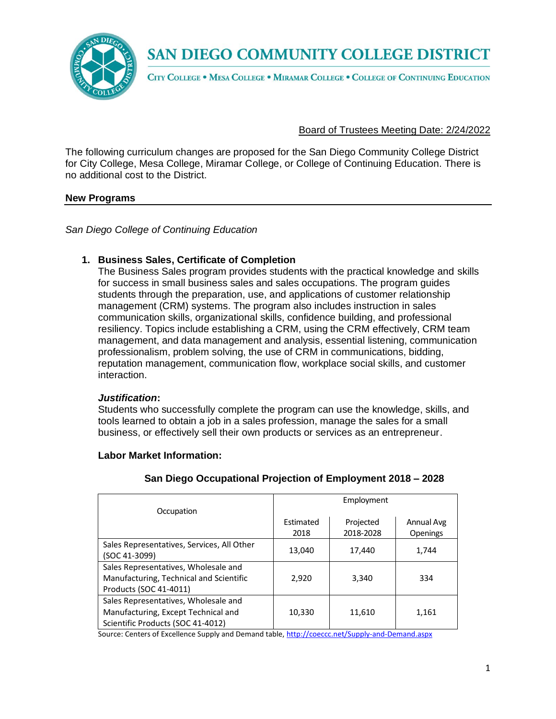

CITY COLLEGE . MESA COLLEGE . MIRAMAR COLLEGE . COLLEGE OF CONTINUING EDUCATION

Board of Trustees Meeting Date: 2/24/2022

The following curriculum changes are proposed for the San Diego Community College District for City College, Mesa College, Miramar College, or College of Continuing Education. There is no additional cost to the District.

#### **New Programs**

*San Diego College of Continuing Education*

# **1. Business Sales, Certificate of Completion**

The Business Sales program provides students with the practical knowledge and skills for success in small business sales and sales occupations. The program guides students through the preparation, use, and applications of customer relationship management (CRM) systems. The program also includes instruction in sales communication skills, organizational skills, confidence building, and professional resiliency. Topics include establishing a CRM, using the CRM effectively, CRM team management, and data management and analysis, essential listening, communication professionalism, problem solving, the use of CRM in communications, bidding, reputation management, communication flow, workplace social skills, and customer interaction.

#### *Justification***:**

**Labor Market Information:**

Students who successfully complete the program can use the knowledge, skills, and tools learned to obtain a job in a sales profession, manage the sales for a small business, or effectively sell their own products or services as an entrepreneur.

|                                            | Employment |           |            |
|--------------------------------------------|------------|-----------|------------|
| Occupation                                 |            |           |            |
|                                            | Estimated  | Projected | Annual Avg |
|                                            | 2018       | 2018-2028 | Openings   |
| Sales Representatives, Services, All Other | 13,040     | 17,440    | 1,744      |
| (SOC 41-3099)                              |            |           |            |
| Sales Representatives, Wholesale and       |            |           |            |
| Manufacturing, Technical and Scientific    | 2.920      | 3.340     | 334        |
| Products (SOC 41-4011)                     |            |           |            |
| Sales Representatives, Wholesale and       |            |           |            |
| Manufacturing, Except Technical and        | 10,330     | 11,610    | 1,161      |
| Scientific Products (SOC 41-4012)          |            |           |            |

#### **San Diego Occupational Projection of Employment 2018 – 2028**

Source: Centers of Excellence Supply and Demand table, <http://coeccc.net/Supply-and-Demand.aspx>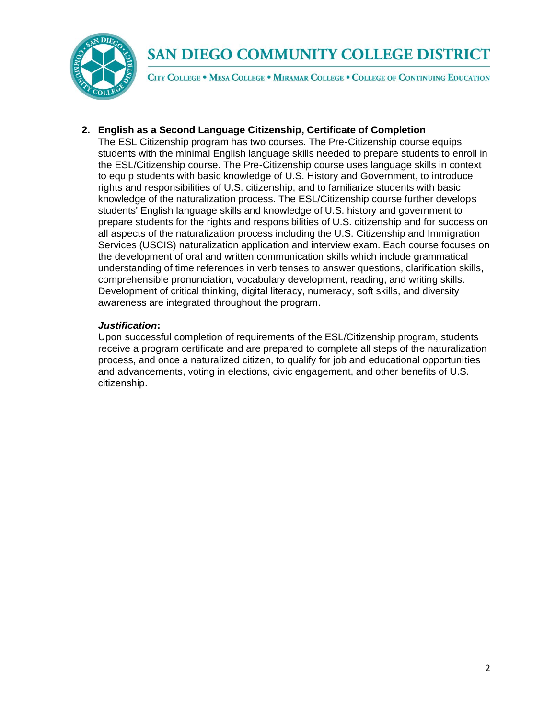

CITY COLLEGE . MESA COLLEGE . MIRAMAR COLLEGE . COLLEGE OF CONTINUING EDUCATION

## **2. English as a Second Language Citizenship, Certificate of Completion**

The ESL Citizenship program has two courses. The Pre-Citizenship course equips students with the minimal English language skills needed to prepare students to enroll in the ESL/Citizenship course. The Pre-Citizenship course uses language skills in context to equip students with basic knowledge of U.S. History and Government, to introduce rights and responsibilities of U.S. citizenship, and to familiarize students with basic knowledge of the naturalization process. The ESL/Citizenship course further develops students' English language skills and knowledge of U.S. history and government to prepare students for the rights and responsibilities of U.S. citizenship and for success on all aspects of the naturalization process including the U.S. Citizenship and Immigration Services (USCIS) naturalization application and interview exam. Each course focuses on the development of oral and written communication skills which include grammatical understanding of time references in verb tenses to answer questions, clarification skills, comprehensible pronunciation, vocabulary development, reading, and writing skills. Development of critical thinking, digital literacy, numeracy, soft skills, and diversity awareness are integrated throughout the program.

#### *Justification***:**

Upon successful completion of requirements of the ESL/Citizenship program, students receive a program certificate and are prepared to complete all steps of the naturalization process, and once a naturalized citizen, to qualify for job and educational opportunities and advancements, voting in elections, civic engagement, and other benefits of U.S. citizenship.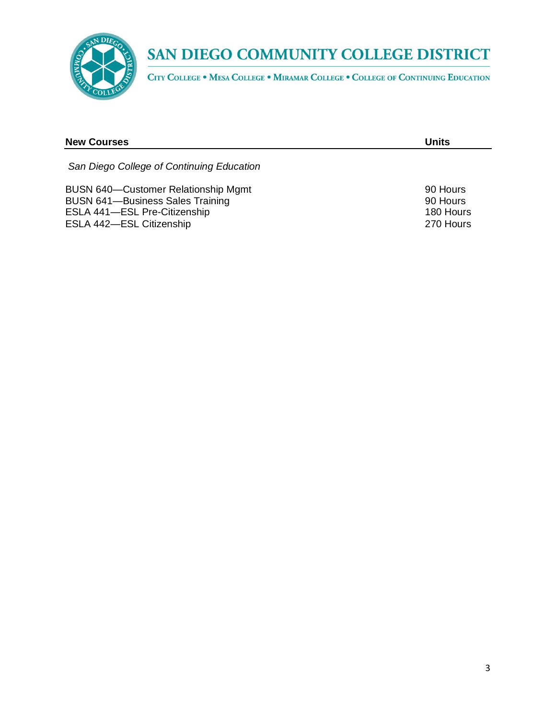

CITY COLLEGE . MESA COLLEGE . MIRAMAR COLLEGE . COLLEGE OF CONTINUING EDUCATION

| <b>New Courses</b>                                                                                                                                | Units                                          |
|---------------------------------------------------------------------------------------------------------------------------------------------------|------------------------------------------------|
| San Diego College of Continuing Education                                                                                                         |                                                |
| <b>BUSN 640-Customer Relationship Mgmt</b><br><b>BUSN 641-Business Sales Training</b><br>ESLA 441-ESL Pre-Citizenship<br>ESLA 442-ESL Citizenship | 90 Hours<br>90 Hours<br>180 Hours<br>270 Hours |